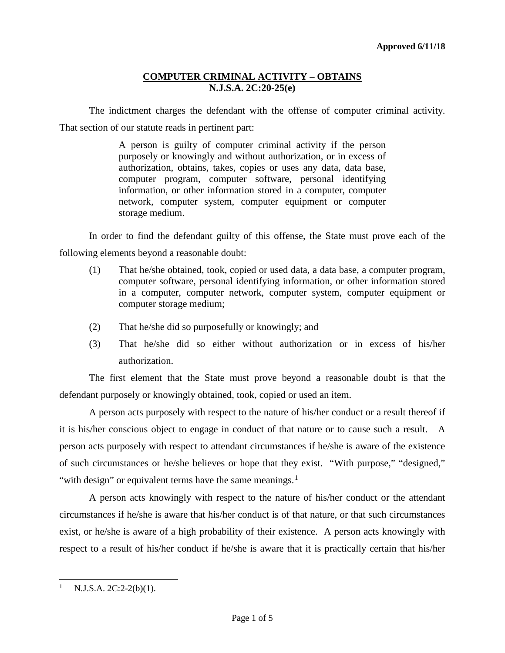The indictment charges the defendant with the offense of computer criminal activity. That section of our statute reads in pertinent part:

> A person is guilty of computer criminal activity if the person purposely or knowingly and without authorization, or in excess of authorization, obtains, takes, copies or uses any data, data base, computer program, computer software, personal identifying information, or other information stored in a computer, computer network, computer system, computer equipment or computer storage medium.

In order to find the defendant guilty of this offense, the State must prove each of the following elements beyond a reasonable doubt:

- (1) That he/she obtained, took, copied or used data, a data base, a computer program, computer software, personal identifying information, or other information stored in a computer, computer network, computer system, computer equipment or computer storage medium;
- (2) That he/she did so purposefully or knowingly; and
- (3) That he/she did so either without authorization or in excess of his/her authorization.

The first element that the State must prove beyond a reasonable doubt is that the defendant purposely or knowingly obtained, took, copied or used an item.

A person acts purposely with respect to the nature of his/her conduct or a result thereof if it is his/her conscious object to engage in conduct of that nature or to cause such a result. A person acts purposely with respect to attendant circumstances if he/she is aware of the existence of such circumstances or he/she believes or hope that they exist. "With purpose," "designed," "with design" or equivalent terms have the same meanings. $<sup>1</sup>$  $<sup>1</sup>$  $<sup>1</sup>$ </sup>

A person acts knowingly with respect to the nature of his/her conduct or the attendant circumstances if he/she is aware that his/her conduct is of that nature, or that such circumstances exist, or he/she is aware of a high probability of their existence. A person acts knowingly with respect to a result of his/her conduct if he/she is aware that it is practically certain that his/her

<span id="page-0-0"></span>l N.J.S.A. 2C:2-2(b)(1).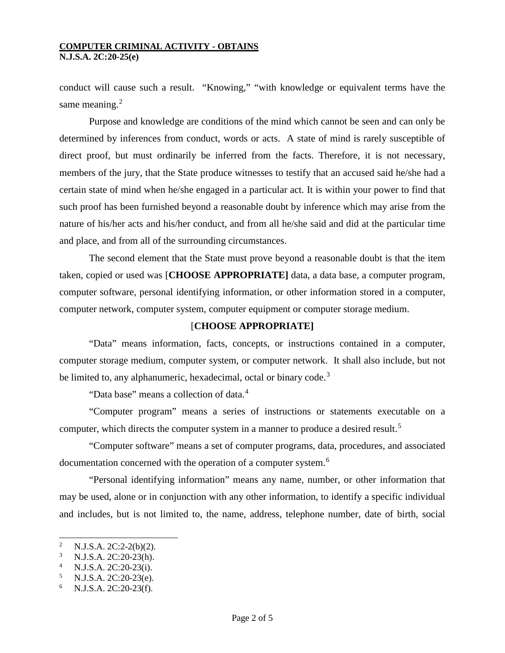conduct will cause such a result. "Knowing," "with knowledge or equivalent terms have the same meaning.<sup>[2](#page-1-0)</sup>

Purpose and knowledge are conditions of the mind which cannot be seen and can only be determined by inferences from conduct, words or acts. A state of mind is rarely susceptible of direct proof, but must ordinarily be inferred from the facts. Therefore, it is not necessary, members of the jury, that the State produce witnesses to testify that an accused said he/she had a certain state of mind when he/she engaged in a particular act. It is within your power to find that such proof has been furnished beyond a reasonable doubt by inference which may arise from the nature of his/her acts and his/her conduct, and from all he/she said and did at the particular time and place, and from all of the surrounding circumstances.

The second element that the State must prove beyond a reasonable doubt is that the item taken, copied or used was [**CHOOSE APPROPRIATE]** data, a data base, a computer program, computer software, personal identifying information, or other information stored in a computer, computer network, computer system, computer equipment or computer storage medium.

# [**CHOOSE APPROPRIATE]**

"Data" means information, facts, concepts, or instructions contained in a computer, computer storage medium, computer system, or computer network. It shall also include, but not be limited to, any alphanumeric, hexadecimal, octal or binary code.<sup>[3](#page-1-1)</sup>

"Data base" means a collection of data.<sup>[4](#page-1-2)</sup>

"Computer program" means a series of instructions or statements executable on a computer, which directs the computer system in a manner to produce a desired result.<sup>[5](#page-1-3)</sup>

"Computer software" means a set of computer programs, data, procedures, and associated documentation concerned with the operation of a computer system.<sup>[6](#page-1-4)</sup>

"Personal identifying information" means any name, number, or other information that may be used, alone or in conjunction with any other information, to identify a specific individual and includes, but is not limited to, the name, address, telephone number, date of birth, social

l

<span id="page-1-0"></span><sup>&</sup>lt;sup>2</sup> N.J.S.A. 2C:2-2(b)(2).<br><sup>3</sup> N.J.S.A. 2C:20.23(b)

<span id="page-1-2"></span><span id="page-1-1"></span><sup>&</sup>lt;sup>3</sup> N.J.S.A. 2C:20-23(h).<br><sup>4</sup> N.J.S.A. 2C:20-23(i).<br><sup>5</sup> N.J.S.A. 2C:20-23(e).<br><sup>6</sup> N.J.S.A. 2C:20-23(f).

<span id="page-1-3"></span>

<span id="page-1-4"></span>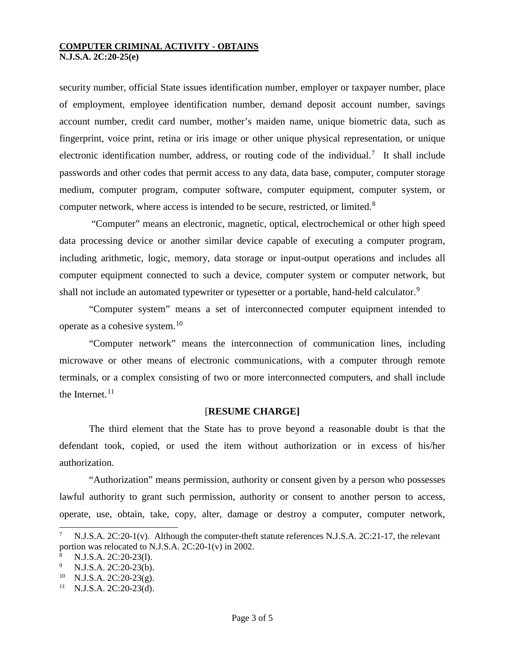security number, official State issues identification number, employer or taxpayer number, place of employment, employee identification number, demand deposit account number, savings account number, credit card number, mother's maiden name, unique biometric data, such as fingerprint, voice print, retina or iris image or other unique physical representation, or unique electronic identification number, address, or routing code of the individual.<sup>[7](#page-2-0)</sup> It shall include passwords and other codes that permit access to any data, data base, computer, computer storage medium, computer program, computer software, computer equipment, computer system, or computer network, where access is intended to be secure, restricted, or limited.<sup>[8](#page-2-1)</sup>

"Computer" means an electronic, magnetic, optical, electrochemical or other high speed data processing device or another similar device capable of executing a computer program, including arithmetic, logic, memory, data storage or input-output operations and includes all computer equipment connected to such a device, computer system or computer network, but shall not include an automated typewriter or typesetter or a portable, hand-held calculator.<sup>[9](#page-2-2)</sup>

"Computer system" means a set of interconnected computer equipment intended to operate as a cohesive system.<sup>[10](#page-2-3)</sup>

"Computer network" means the interconnection of communication lines, including microwave or other means of electronic communications, with a computer through remote terminals, or a complex consisting of two or more interconnected computers, and shall include the Internet. $11$ 

### [**RESUME CHARGE]**

The third element that the State has to prove beyond a reasonable doubt is that the defendant took, copied, or used the item without authorization or in excess of his/her authorization.

"Authorization" means permission, authority or consent given by a person who possesses lawful authority to grant such permission, authority or consent to another person to access, operate, use, obtain, take, copy, alter, damage or destroy a computer, computer network,

-

<span id="page-2-0"></span>N.J.S.A. 2C:20-1(v). Although the computer-theft statute references N.J.S.A. 2C:21-17, the relevant portion was relocated to N.J.S.A. 2C:20-1(v) in 2002.

<span id="page-2-1"></span><sup>8</sup> N.J.S.A. 2C:20-23(l).

<span id="page-2-2"></span><sup>&</sup>lt;sup>9</sup> N.J.S.A. 2C:20-23(b).<br><sup>10</sup> N.J.S.A. 2C:20-23(g).<br><sup>11</sup> N.J.S.A. 2C:20-23(d).

<span id="page-2-3"></span>

<span id="page-2-4"></span>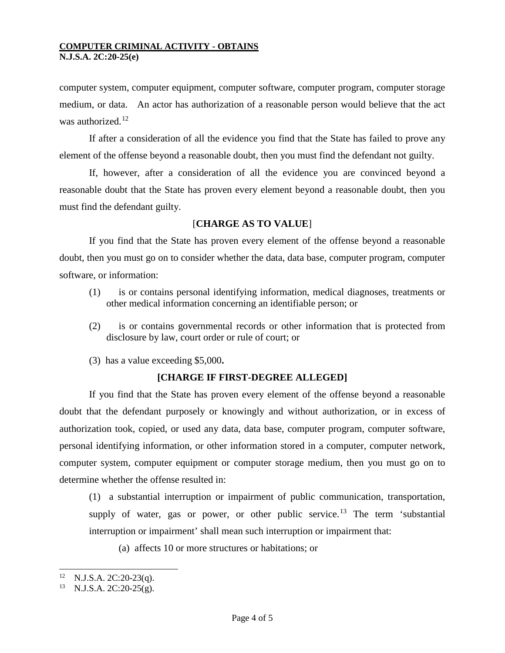computer system, computer equipment, computer software, computer program, computer storage medium, or data. An actor has authorization of a reasonable person would believe that the act was authorized. $12$ 

If after a consideration of all the evidence you find that the State has failed to prove any element of the offense beyond a reasonable doubt, then you must find the defendant not guilty.

If, however, after a consideration of all the evidence you are convinced beyond a reasonable doubt that the State has proven every element beyond a reasonable doubt, then you must find the defendant guilty.

## [**CHARGE AS TO VALUE**]

If you find that the State has proven every element of the offense beyond a reasonable doubt, then you must go on to consider whether the data, data base, computer program, computer software, or information:

- (1) is or contains personal identifying information, medical diagnoses, treatments or other medical information concerning an identifiable person; or
- (2) is or contains governmental records or other information that is protected from disclosure by law, court order or rule of court; or
- (3) has a value exceeding \$5,000**.**

### **[CHARGE IF FIRST-DEGREE ALLEGED]**

If you find that the State has proven every element of the offense beyond a reasonable doubt that the defendant purposely or knowingly and without authorization, or in excess of authorization took, copied, or used any data, data base, computer program, computer software, personal identifying information, or other information stored in a computer, computer network, computer system, computer equipment or computer storage medium, then you must go on to determine whether the offense resulted in:

(1) a substantial interruption or impairment of public communication, transportation, supply of water, gas or power, or other public service.<sup>[13](#page-3-1)</sup> The term 'substantial interruption or impairment' shall mean such interruption or impairment that:

(a) affects 10 or more structures or habitations; or

<span id="page-3-1"></span><span id="page-3-0"></span> $12$ <sup>12</sup> N.J.S.A. 2C:20-23(q).<br><sup>13</sup> N.J.S.A. 2C:20-25(g).